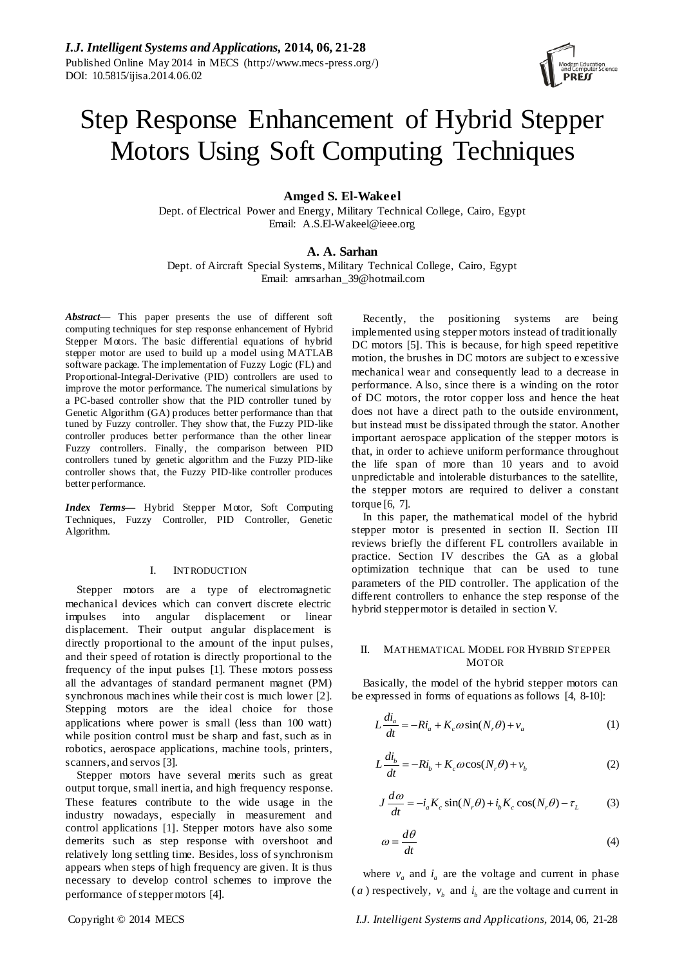# Step Response Enhancement of Hybrid Stepper Motors Using Soft Computing Techniques

## **Amged S. El-Wakeel**

Dept. of Electrical Power and Energy, Military Technical College, Cairo, Egypt Email: A.S.El-Wakeel@ieee.org

### **A. A. Sarhan**

Dept. of Aircraft Special Systems, Military Technical College, Cairo, Egypt Email: amrsarhan\_39@hotmail.com

*Abstract***—** This paper presents the use of different soft computing techniques for step response enhancement of Hybrid Stepper Motors. The basic differential equations of hybrid stepper motor are used to build up a model using MATLAB software package. The implementation of Fuzzy Logic (FL) and Proportional-Integral-Derivative (PID) controllers are used to improve the motor performance. The numerical simulations by a PC-based controller show that the PID controller tuned by Genetic Algorithm (GA) produces better performance than that tuned by Fuzzy controller. They show that, the Fuzzy PID-like controller produces better performance than the other linear Fuzzy controllers. Finally, the comparison between PID controllers tuned by genetic algorithm and the Fuzzy PID-like controller shows that, the Fuzzy PID-like controller produces better performance.

*Index Terms***—** Hybrid Stepper Motor, Soft Computing Techniques, Fuzzy Controller, PID Controller, Genetic Algorithm.

#### I. INTRODUCTION

Stepper motors are a type of electromagnetic mechanical devices which can convert discrete electric impulses into angular displacement or linear displacement. Their output angular displacement is directly proportional to the amount of the input pulses, and their speed of rotation is directly proportional to the frequency of the input pulses [\[1\]](#page-6-0). These motors possess all the advantages of standard permanent magnet (PM) synchronous machines while their cost is much lower [\[2\]](#page-6-1). Stepping motors are the ideal choice for those applications where power is small (less than 100 watt) while position control must be sharp and fast, such as in robotics, aerospace applications, machine tools, printers, scanners, and servos [\[3\]](#page-6-2).

Stepper motors have several merits such as great output torque, small inertia, and high frequency response. These features contribute to the wide usage in the industry nowadays, especially in measurement and control applications [\[1\]](#page-6-0). Stepper motors have also some demerits such as step response with overshoot and relatively long settling time. Besides, loss of synchronism appears when steps of high frequency are given. It is thus necessary to develop control schemes to improve the performance of stepper motors [\[4\]](#page-6-3).

Recently, the positioning systems are being implemented using stepper motors instead of traditionally DC motors [\[5\]](#page-6-4). This is because, for high speed repetitive motion, the brushes in DC motors are subject to excessive mechanical wear and consequently lead to a decrease in performance. Also, since there is a winding on the rotor of DC motors, the rotor copper loss and hence the heat does not have a direct path to the outside environment, but instead must be dissipated through the stator. Another important aerospace application of the stepper motors is that, in order to achieve uniform performance throughout the life span of more than 10 years and to avoid unpredictable and intolerable disturbances to the satellite, the stepper motors are required to deliver a constant torque [\[6,](#page-6-5) [7\]](#page-6-6).

In this paper, the mathematical model of the hybrid stepper motor is presented in section II. Section III reviews briefly the different FL controllers available in practice. Section IV describes the GA as a global optimization technique that can be used to tune parameters of the PID controller. The application of the different controllers to enhance the step response of the hybrid stepper motor is detailed in section V.

## II. MATHEMATICAL MODEL FOR HYBRID STEPPER MOTOR

Basically, the model of the hybrid stepper motors can be expressed in forms of equations as follows [\[4,](#page-6-3) [8-10\]:](#page-6-7)

$$
L\frac{di_a}{dt} = -Ri_a + K_c\omega\sin(N_r\theta) + v_a
$$
 (1)

$$
L\frac{di_b}{dt} = -Ri_b + K_c\omega\cos(N_r\theta) + v_b
$$
 (2)

$$
J\frac{d\omega}{dt} = -i_a K_c \sin(N_r \theta) + i_b K_c \cos(N_r \theta) - \tau_L \tag{3}
$$

$$
\omega = \frac{d\theta}{dt} \tag{4}
$$

where  $v_a$  and  $i_a$  are the voltage and current in phase (*a*) respectively,  $v_b$  and  $i_b$  are the voltage and current in

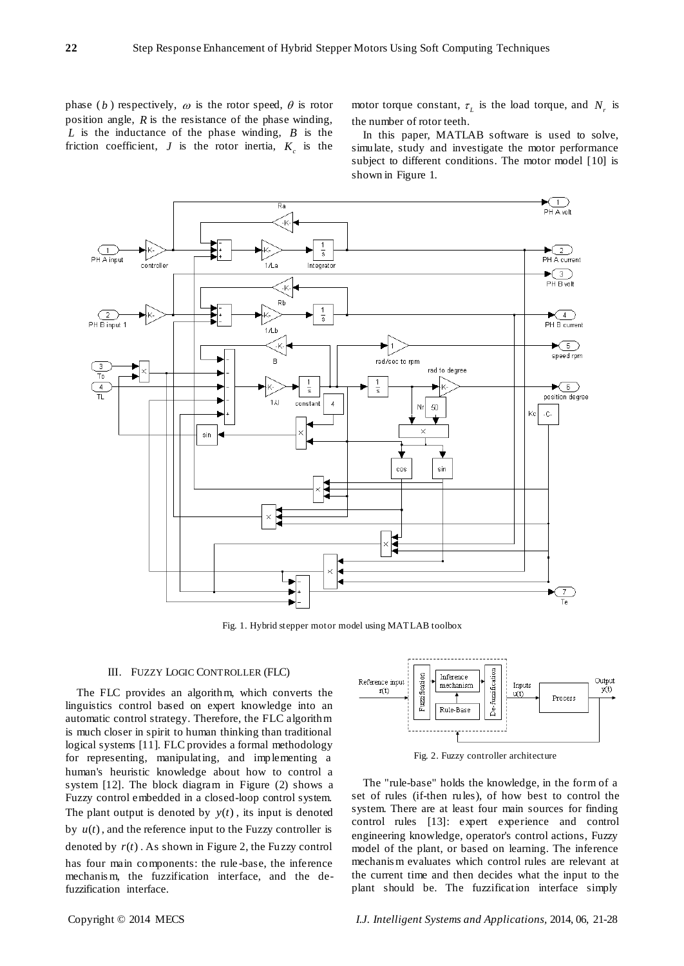phase (*b*) respectively,  $\omega$  is the rotor speed,  $\theta$  is rotor position angle, *R* is the resistance of the phase winding, *L* is the inductance of the phase winding, *B* is the friction coefficient,  $J$  is the rotor inertia,  $K_c$  is the

motor torque constant,  $\tau_L$  is the load torque, and  $N_r$  is the number of rotor teeth.

In this paper, MATLAB software is used to solve, simulate, study and investigate the motor performance subject to different conditions. The motor model [\[10\]](#page-7-0) is shown in Figure 1.



Fig. 1. Hybrid stepper motor model using MATLAB toolbox

#### III. FUZZY LOGIC CONTROLLER (FLC)

The FLC provides an algorithm, which converts the linguistics control based on expert knowledge into an automatic control strategy. Therefore, the FLC algorithm is much closer in spirit to human thinking than traditional logical systems [\[11\]](#page-7-1). FLC provides a formal methodology for representing, manipulating, and implementing a human's heuristic knowledge about how to control a system [\[12\]](#page-7-2). The block diagram in Figure (2) shows a Fuzzy control embedded in a closed-loop control system. The plant output is denoted by  $y(t)$ , its input is denoted by  $u(t)$ , and the reference input to the Fuzzy controller is denoted by  $r(t)$ . As shown in Figure 2, the Fuzzy control has four main components: the rule -base, the inference mechanis m, the fuzzification interface, and the defuzzification interface.



Fig. 2. Fuzzy controller architecture

The "rule-base" holds the knowledge, in the form of a set of rules (if-then rules), of how best to control the system. There are at least four main sources for finding control rules [\[13\]](#page-7-3): expert experience and control engineering knowledge, operator's control actions, Fuzzy model of the plant, or based on learning. The inference mechanis m evaluates which control rules are relevant at the current time and then decides what the input to the plant should be. The fuzzification interface simply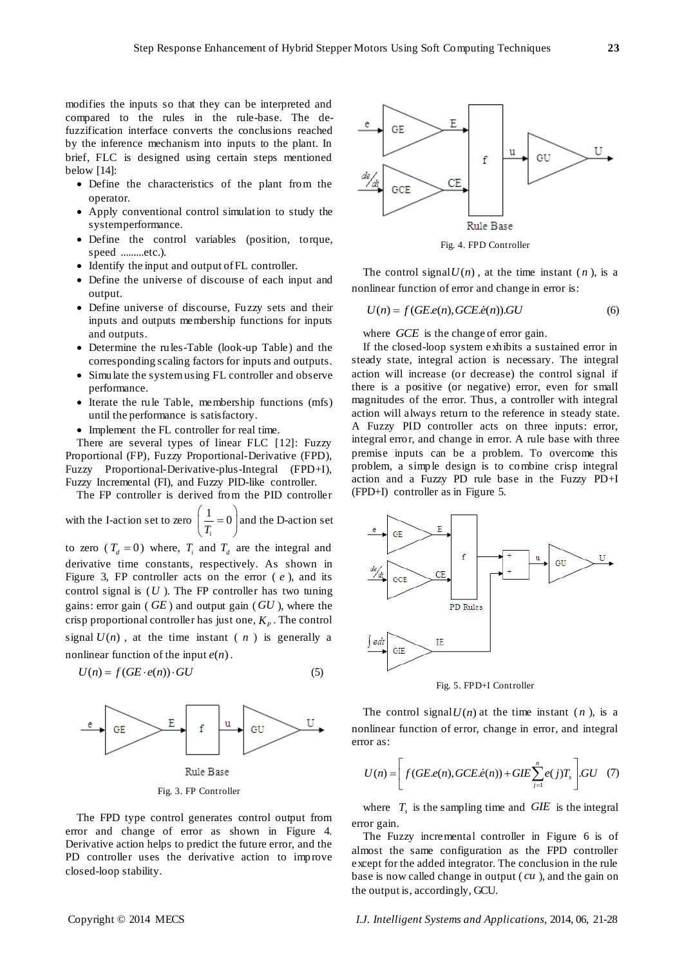modifies the inputs so that they can be interpreted and compared to the rules in the rule-base. The defuzzification interface converts the conclusions reached by the inference mechanism into inputs to the plant. In brief, FLC is designed using certain steps mentioned below [\[14\]](#page-7-4):

- Define the characteristics of the plant from the operator.
- Apply conventional control simulation to study the system performance.
- Define the control variables (position, torque, speed .........etc.).
- Identify the input and output of FL controller.
- Define the universe of discourse of each input and output.
- Define universe of discourse, Fuzzy sets and their inputs and outputs membership functions for inputs and outputs.
- Determine the rules-Table (look-up Table) and the corresponding scaling factors for inputs and outputs.
- Simulate the system using FL controller and observe performance.
- Iterate the rule Table, membership functions (mfs) until the performance is satisfactory.
- Implement the FL controller for real time.

There are several types of linear FLC [\[12\]](#page-7-2): Fuzzy Proportional (FP), Fuzzy Proportional-Derivative (FPD), Fuzzy Proportional-Derivative-plus-Integral (FPD+I), Fuzzy Incremental (FI), and Fuzzy PID-like controller.

The FP controller is derived from the PID controller

with the I-action set to zero 
$$
\left(\frac{1}{T_i} = 0\right)
$$
 and the D-action set

to zero ( $T_d = 0$ ) where,  $T_i$  and  $T_d$  are the integral and derivative time constants, respectively. As shown in Figure 3, FP controller acts on the error ( *e* ), and its control signal is  $(U)$ . The FP controller has two tuning gains: error gain ( *GE* ) and output gain ( *GU* ), where the crisp proportional controller has just one,  $K_p$ . The control signal  $U(n)$ , at the time instant  $(n)$  is generally a nonlinear function of the input  $e(n)$ .

$$
U(n) = f(GE \cdot e(n)) \cdot GU \tag{5}
$$



Fig. 3. FP Controller

The FPD type control generates control output from error and change of error as shown in Figure 4. Derivative action helps to predict the future error, and the PD controller uses the derivative action to improve closed-loop stability.



Fig. 4. FPD Controller

The control signal  $U(n)$ , at the time instant  $(n)$ , is a nonlinear function of error and change in error is:

 $U(n) = f(GE.e(n), GCE.e(n)).GU$  (6)

where *GCE* is the change of error gain.

If the closed-loop system exhibits a sustained error in steady state, integral action is necessary. The integral action will increase (or decrease) the control signal if there is a positive (or negative) error, even for small magnitudes of the error. Thus, a controller with integral action will always return to the reference in steady state. A Fuzzy PID controller acts on three inputs: error, integral error, and change in error. A rule base with three premise inputs can be a problem. To overcome this problem, a simple design is to combine crisp integral action and a Fuzzy PD rule base in the Fuzzy PD+I (FPD+I) controller as in Figure 5.



Fig. 5. FPD+I Controller

The control signal  $U(n)$  at the time instant  $(n)$ , is a nonlinear function of error, change in error, and integral error as:

for as:  
\n
$$
U(n) = \left[ f(GE.e(n), GCE.e(n)) + GIE \sum_{j=1}^{n} e(j)T_s \right] GU \quad (7)
$$

where  $T_s$  is the sampling time and  $GIE$  is the integral error gain.

The Fuzzy incremental controller in Figure 6 is of almost the same configuration as the FPD controller except for the added integrator. The conclusion in the rule base is now called change in output ( *cu* ), and the gain on the output is, accordingly, GCU.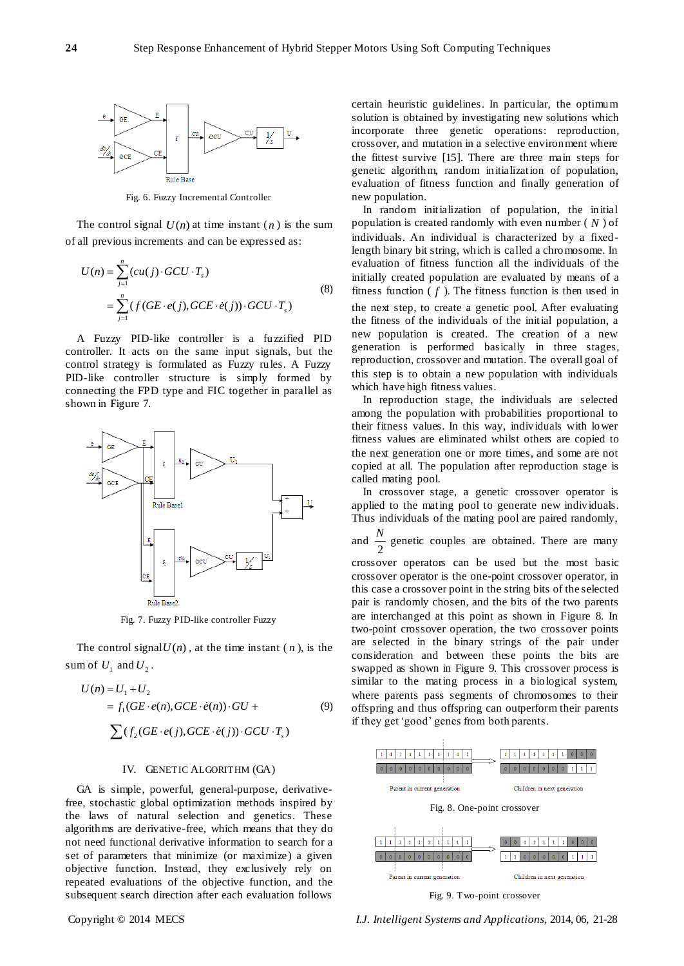

Fig. 6. Fuzzy Incremental Controller

The control signal  $U(n)$  at time instant  $(n)$  is the sum of all previous increments and can be expressed as:

$$
U(n) = \sum_{j=1}^{n} (cu(j) \cdot GCU \cdot T_s)
$$
  
= 
$$
\sum_{j=1}^{n} (f(GE \cdot e(j), GCE \cdot \dot{e}(j)) \cdot GCU \cdot T_s)
$$
 (8)

A Fuzzy PID-like controller is a fuzzified PID controller. It acts on the same input signals, but the control strategy is formulated as Fuzzy rules. A Fuzzy PID-like controller structure is simply formed by connecting the FPD type and FIC together in parallel as shown in Figure 7.



Fig. 7. Fuzzy PID-like controller Fuzzy

The control signal $U(n)$ , at the time instant  $(n)$ , is the sum of  $U_1$  and  $U_2$ .

$$
U(n) = U_1 + U_2
$$
  
=  $f_1(GE \cdot e(n), GCE \cdot e(n)) \cdot GU +$   

$$
\sum (f_2(GE \cdot e(j), GCE \cdot e(j)) \cdot GCU \cdot T_s)
$$
 (9)

#### IV. GENETIC ALGORITHM (GA)

GA is simple, powerful, general-purpose, derivativefree, stochastic global optimization methods inspired by the laws of natural selection and genetics. These algorithms are derivative-free, which means that they do not need functional derivative information to search for a set of parameters that minimize (or maximize) a given objective function. Instead, they exclusively rely on repeated evaluations of the objective function, and the subsequent search direction after each evaluation follows

certain heuristic guidelines. In particular, the optimum solution is obtained by investigating new solutions which incorporate three genetic operations: reproduction, crossover, and mutation in a selective environment where the fittest survive [\[15\]](#page-7-5). There are three main steps for genetic algorithm, random initialization of population, evaluation of fitness function and finally generation of new population.

In random initialization of population, the initial population is created randomly with even number ( *N* ) of individuals. An individual is characterized by a fixedlength binary bit string, which is called a chromosome. In evaluation of fitness function all the individuals of the initially created population are evaluated by means of a fitness function  $(f)$ . The fitness function is then used in the next step, to create a genetic pool. After evaluating the fitness of the individuals of the initial population, a new population is created. The creation of a new generation is performed basically in three stages, reproduction, crossover and mutation. The overall goal of this step is to obtain a new population with individuals which have high fitness values.

In reproduction stage, the individuals are selected among the population with probabilities proportional to their fitness values. In this way, individuals with lower fitness values are eliminated whilst others are copied to the next generation one or more times, and some are not copied at all. The population after reproduction stage is called mating pool.

In crossover stage, a genetic crossover operator is applied to the mating pool to generate new individuals. Thus individuals of the mating pool are paired randomly, and  $\frac{1}{2}$  $\frac{N}{\sigma}$  genetic couples are obtained. There are many crossover operators can be used but the most basic crossover operator is the one-point crossover operator, in this case a crossover point in the string bits of the selected pair is randomly chosen, and the bits of the two parents are interchanged at this point as shown in Figure 8. In two-point crossover operation, the two crossover points are selected in the binary strings of the pair under consideration and between these points the bits are swapped as shown in Figure 9. This crossover process is similar to the mating process in a biological system, where parents pass segments of chromosomes to their offspring and thus offspring can outperform their parents if they get 'good' genes from both parents.



Fig. 9. Two-point crossover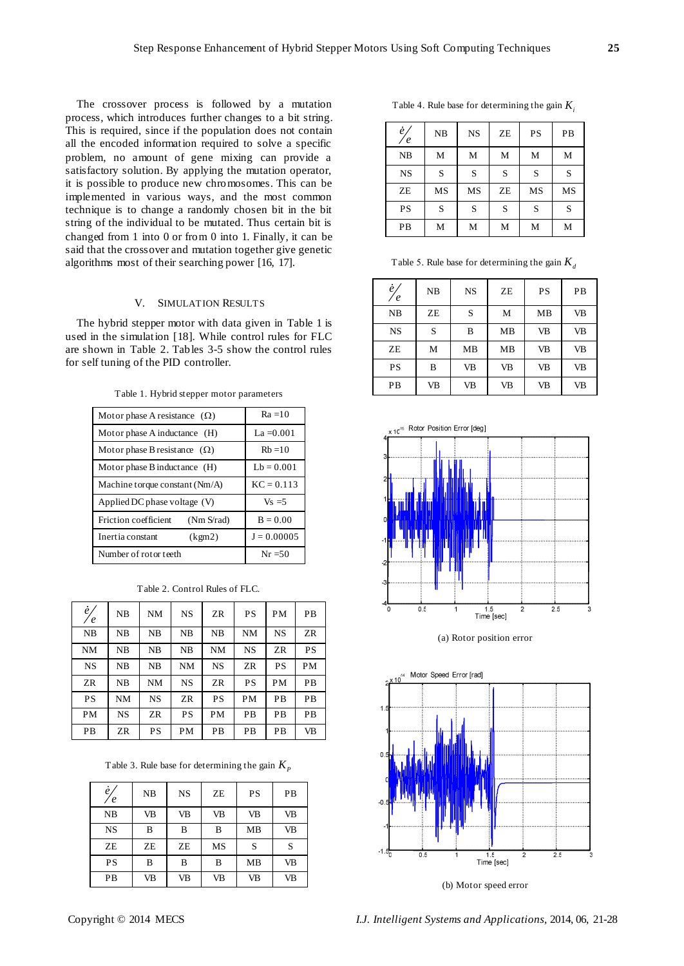The crossover process is followed by a mutation process, which introduces further changes to a bit string. This is required, since if the population does not contain all the encoded information required to solve a specific problem, no amount of gene mixing can provide a satisfactory solution. By applying the mutation operator, it is possible to produce new chromosomes. This can be implemented in various ways, and the most common technique is to change a randomly chosen bit in the bit string of the individual to be mutated. Thus certain bit is changed from 1 into 0 or from 0 into 1. Finally, it can be said that the crossover and mutation together give genetic algorithms most of their searching power [\[16,](#page-7-6) [17\]](#page-7-7).

## V. SIMULATION RESULTS

The hybrid stepper motor with data given in Table 1 is used in the simulation [\[18\]](#page-7-8). While control rules for FLC are shown in Table 2. Tables 3-5 show the control rules for self tuning of the PID controller.

| Motor phase A resistance $(\Omega)$ | $Ra = 10$     |  |  |
|-------------------------------------|---------------|--|--|
| Motor phase A inductance (H)        | $La = 0.001$  |  |  |
| Motor phase B resistance $(\Omega)$ | $Rh = 10$     |  |  |
| Motor phase B inductance (H)        | $Lb = 0.001$  |  |  |
| Machine torque constant $(Nm/A)$    | $KC = 0.113$  |  |  |
| Applied DC phase voltage (V)        | $Vs = 5$      |  |  |
| Friction coefficient<br>(Nm S/rad)  | $B = 0.00$    |  |  |
| Inertia constant<br>(kgm2)          | $J = 0.00005$ |  |  |
| Number of rotor teeth               | $Nr = 50$     |  |  |
|                                     |               |  |  |

Table 1. Hybrid stepper motor parameters

| $e\llap/$ | NB        | NM        | <b>NS</b> | ZR        | PS        | <b>PM</b> | PB        |
|-----------|-----------|-----------|-----------|-----------|-----------|-----------|-----------|
| NB        | NB        | NB        | NB        | NB        | <b>NM</b> | <b>NS</b> | ZR        |
| <b>NM</b> | NB        | NB        | NB        | NM        | <b>NS</b> | ZR        | PS        |
| <b>NS</b> | NB        | NB        | NM        | <b>NS</b> | ZR        | PS        | PM        |
| ZR        | NB        | NM        | <b>NS</b> | ZR        | PS        | <b>PM</b> | <b>PB</b> |
| PS        | NM        | <b>NS</b> | ZR        | <b>PS</b> | PM        | PB        | <b>PB</b> |
| PM        | <b>NS</b> | ZR        | PS        | PM        | <b>PB</b> | PB        | <b>PB</b> |
| PB        | ZR        | PS        | PM        | PB        | PB        | PB        | <b>VB</b> |

Table 2. Control Rules of FLC.

Table 3. Rule base for determining the gain  $K_p$ 

| $\ell$<br>$\epsilon$ | NB | <b>NS</b> | ZE        | PS        | PB        |
|----------------------|----|-----------|-----------|-----------|-----------|
| NB                   | VB | VB        | <b>VB</b> | <b>VB</b> | <b>VB</b> |
| <b>NS</b>            | B  | B         | B         | <b>MB</b> | VB        |
| ZE                   | ZE | ZE        | MS        | S         | S         |
| PS                   | B  | B         | B         | <b>MB</b> | <b>VB</b> |
| PB                   | VB | VB        | <b>VB</b> | VB        | VB        |

Table 4. Rule base for determining the gain *Ki*

| $\dot{e}$<br>$\epsilon$ | NB | <b>NS</b> | ZE | PS | PB |
|-------------------------|----|-----------|----|----|----|
| NB                      | M  | M         | M  | M  | М  |
| <b>NS</b>               | S  | S         | S  | S  | S  |
| ZE                      | MS | MS        | ZE | MS | MS |
| PS                      | S  | S         | S  | S  | S  |
| PB                      | М  | М         | M  | M  | М  |

Table 5. Rule base for determining the gain *Kd*

| è,<br>$\epsilon$ | NB | <b>NS</b> | ZE        | <b>PS</b> | PB |
|------------------|----|-----------|-----------|-----------|----|
| NB               | ZE | S         | M         | <b>MB</b> | VB |
| <b>NS</b>        | S  | B         | <b>MB</b> | <b>VB</b> | VB |
| ZE               | M  | <b>MB</b> | <b>MB</b> | <b>VB</b> | VB |
| PS               | B  | <b>VB</b> | <b>VB</b> | <b>VB</b> | VB |
| PB               | VB | VB        | <b>VB</b> | <b>VB</b> | VB |



(a) Rotor position error



(b) Motor speed error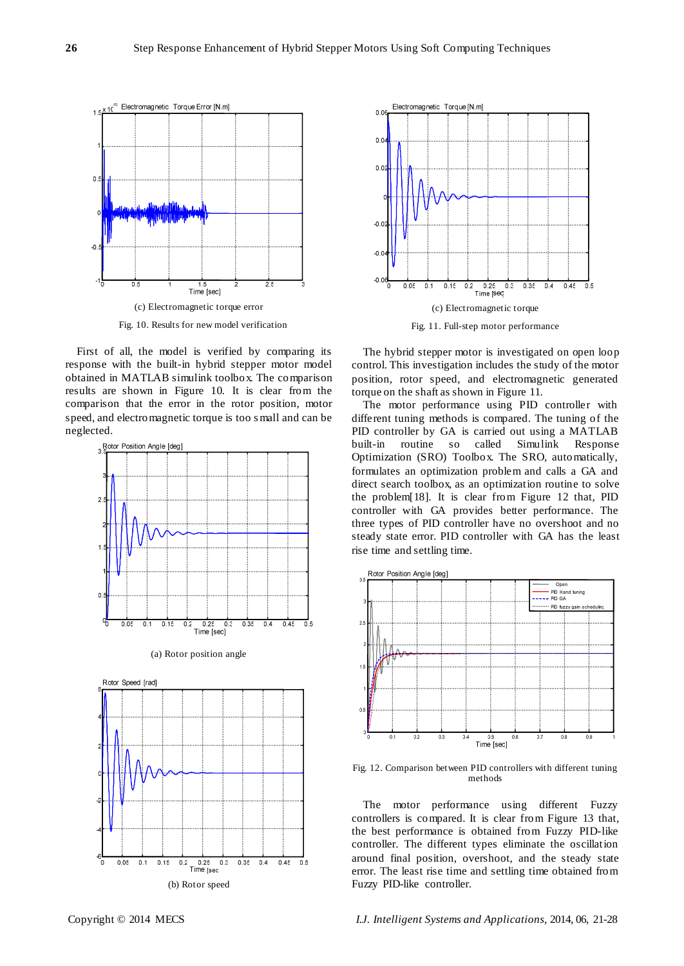

Fig. 10. Results for new model verification

First of all, the model is verified by comparing its response with the built-in hybrid stepper motor model obtained in MATLAB simulink toolbox. The comparison results are shown in Figure 10. It is clear from the comparison that the error in the rotor position, motor speed, and electromagnetic torque is too s mall and can be neglected.









The hybrid stepper motor is investigated on open loop control. This investigation includes the study of the motor position, rotor speed, and electromagnetic generated torque on the shaft as shown in Figure 11.

The motor performance using PID controller with different tuning methods is compared. The tuning of the PID controller by GA is carried out using a MATLAB built-in routine so called Simulink Response Optimization (SRO) Toolbox. The SRO, automatically, formulates an optimization problem and calls a GA and direct search toolbox, as an optimization routine to solve the problem[\[18\]](#page-7-8). It is clear from Figure 12 that, PID controller with GA provides better performance. The three types of PID controller have no overshoot and no steady state error. PID controller with GA has the least rise time and settling time.



Fig. 12. Comparison between PID controllers with different tuning methods

The motor performance using different Fuzzy controllers is compared. It is clear from Figure 13 that, the best performance is obtained from Fuzzy PID-like controller. The different types eliminate the oscillation around final position, overshoot, and the steady state error. The least rise time and settling time obtained from Fuzzy PID-like controller.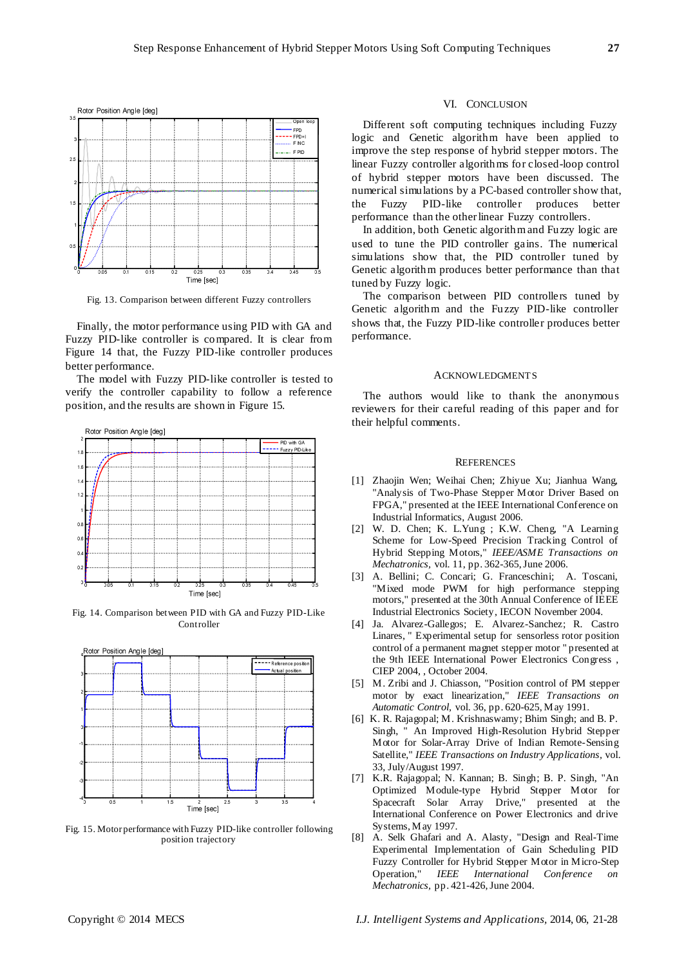

Fig. 13. Comparison between different Fuzzy controllers

Finally, the motor performance using PID with GA and Fuzzy PID-like controller is compared. It is clear from Figure 14 that, the Fuzzy PID-like controller produces better performance.

The model with Fuzzy PID-like controller is tested to verify the controller capability to follow a reference position, and the results are shown in Figure 15.



Fig. 14. Comparison between PID with GA and Fuzzy PID-Like Controller



Fig. 15. Motor performance with Fuzzy PID-like controller following position trajectory

#### VI. CONCLUSION

Different soft computing techniques including Fuzzy logic and Genetic algorithm have been applied to improve the step response of hybrid stepper motors. The linear Fuzzy controller algorithms for closed-loop control of hybrid stepper motors have been discussed. The numerical simulations by a PC-based controller show that, the Fuzzy PID-like controller produces better performance than the other linear Fuzzy controllers.

In addition, both Genetic algorithm and Fuzzy logic are used to tune the PID controller gains. The numerical simulations show that, the PID controller tuned by Genetic algorithm produces better performance than that tuned by Fuzzy logic.

The comparison between PID controllers tuned by Genetic algorithm and the Fuzzy PID-like controller shows that, the Fuzzy PID-like controller produces better performance.

#### ACKNOWLEDGMENTS

The authors would like to thank the anonymous reviewers for their careful reading of this paper and for their helpful comments.

#### **REFERENCES**

- <span id="page-6-0"></span>[1] Zhaojin Wen; Weihai Chen; Zhiyue Xu; Jianhua Wang, "Analysis of Two-Phase Stepper Motor Driver Based on FPGA," presented at the IEEE International Conference on Industrial Informatics, August 2006.
- <span id="page-6-1"></span>[2] W. D. Chen; K. L.Yung ; K.W. Cheng, "A Learning Scheme for Low-Speed Precision Tracking Control of Hybrid Stepping Motors," *IEEE/ASME Transactions on Mechatronics,* vol. 11, pp. 362-365, June 2006.
- <span id="page-6-2"></span>[3] A. Bellini; C. Concari; G. Franceschini; A. Toscani, "Mixed mode PWM for high performance stepping motors," presented at the 30th Annual Conference of IEEE Industrial Electronics Society, IECON November 2004.
- <span id="page-6-3"></span>[4] Ja. Alvarez-Gallegos; E. Alvarez-Sanchez; R. Castro Linares, " Experimental setup for sensorless rotor position control of a permanent magnet stepper motor " presented at the 9th IEEE International Power Electronics Congress , CIEP 2004, , October 2004.
- <span id="page-6-4"></span>[5] M. Zribi and J. Chiasson, "Position control of PM stepper motor by exact linearization," *IEEE Transactions on Automatic Control,* vol. 36, pp. 620-625, May 1991.
- <span id="page-6-5"></span>[6] K. R. Rajagopal; M. Krishnaswamy; Bhim Singh; and B. P. Singh, " An Improved High-Resolution Hybrid Stepper Motor for Solar-Array Drive of Indian Remote-Sensing Satellite," *IEEE Transactions on Industry Applications,* vol. 33, July/August 1997.
- <span id="page-6-6"></span>[7] K.R. Rajagopal; N. Kannan; B. Singh; B. P. Singh, "An Optimized Module-type Hybrid Stepper Motor for Spacecraft Solar Array Drive," presented at the International Conference on Power Electronics and drive Systems, May 1997.
- <span id="page-6-7"></span>[8] A. Selk Ghafari and A. Alasty, "Design and Real-Time Experimental Implementation of Gain Scheduling PID Fuzzy Controller for Hybrid Stepper Motor in Micro-Step Operation," *IEEE International Conference on Mechatronics,* pp. 421-426, June 2004.